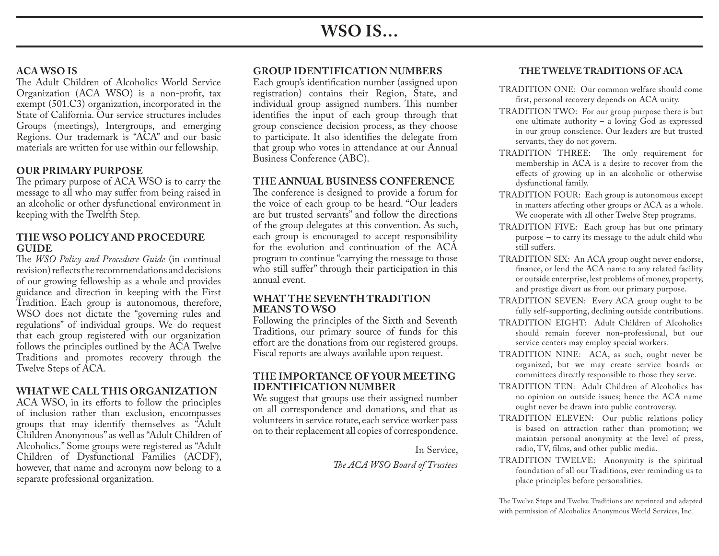# **WSO IS…**

# **ACA WSO IS**

The Adult Children of Alcoholics World Service Organization (ACA WSO) is a non-profit, tax exempt (501.C3) organization, incorporated in the State of California. Our service structures includes Groups (meetings), Intergroups, and emerging Regions. Our trademark is "ACA" and our basic materials are written for use within our fellowship.

# **OUR PRIMARY PURPOSE**

The primary purpose of ACA WSO is to carry the message to all who may suffer from being raised in an alcoholic or other dysfunctional environment in keeping with the Twelfth Step.

#### **THE WSO POLICY AND PROCEDURE GUIDE**

The *WSO Policy and Procedure Guide* (in continual revision) reflects the recommendations and decisions of our growing fellowship as a whole and provides guidance and direction in keeping with the First Tradition. Each group is autonomous, therefore, WSO does not dictate the "governing rules and regulations" of individual groups. We do request that each group registered with our organization follows the principles outlined by the ACA Twelve Traditions and promotes recovery through the Twelve Steps of ACA.

# **WHAT WE CALL THIS ORGANIZATION**

ACA WSO, in its efforts to follow the principles of inclusion rather than exclusion, encompasses groups that may identify themselves as "Adult Children Anonymous" as well as "Adult Children of Alcoholics." Some groups were registered as "Adult Children of Dysfunctional Families (ACDF), however, that name and acronym now belong to a separate professional organization.

# **GROUP IDENTIFICATION NUMBERS**

Each group's identification number (assigned upon registration) contains their Region, State, and individual group assigned numbers. This number identifies the input of each group through that group conscience decision process, as they choose to participate. It also identifies the delegate from that group who votes in attendance at our Annual Business Conference (ABC).

### **THE ANNUAL BUSINESS CONFERENCE**

The conference is designed to provide a forum for the voice of each group to be heard. "Our leaders are but trusted servants" and follow the directions of the group delegates at this convention. As such, each group is encouraged to accept responsibility for the evolution and continuation of the ACA program to continue "carrying the message to those who still suffer" through their participation in this annual event.

#### **WHAT THE SEVENTH TRADITION MEANS TO WSO**

Following the principles of the Sixth and Seventh Traditions, our primary source of funds for this effort are the donations from our registered groups. Fiscal reports are always available upon request.

#### **THE IMPORTANCE OF YOUR MEETING IDENTIFICATION NUMBER**

We suggest that groups use their assigned number on all correspondence and donations, and that as volunteers in service rotate, each service worker pass on to their replacement all copies of correspondence.

In Service,

*The ACA WSO Board of Trustees*

#### **THE TWELVE TRADITIONS OF ACA**

- TRADITION ONE: Our common welfare should come first, personal recovery depends on ACA unity.
- TRADITION TWO: For our group purpose there is but one ultimate authority – a loving God as expressed in our group conscience. Our leaders are but trusted servants, they do not govern.
- TRADITION THREE: The only requirement for membership in ACA is a desire to recover from the effects of growing up in an alcoholic or otherwise dysfunctional family.
- TRADITION FOUR: Each group is autonomous except in matters affecting other groups or ACA as a whole. We cooperate with all other Twelve Step programs.
- TRADITION FIVE: Each group has but one primary purpose – to carry its message to the adult child who still suffers.
- TRADITION SIX: An ACA group ought never endorse, finance, or lend the ACA name to any related facility or outside enterprise, lest problems of money, property, and prestige divert us from our primary purpose.
- TRADITION SEVEN: Every ACA group ought to be fully self-supporting, declining outside contributions.
- TRADITION EIGHT: Adult Children of Alcoholics should remain forever non-professional, but our service centers may employ special workers.
- TRADITION NINE: ACA, as such, ought never be organized, but we may create service boards or committees directly responsible to those they serve.
- TRADITION TEN: Adult Children of Alcoholics has no opinion on outside issues; hence the ACA name ought never be drawn into public controversy.
- TRADITION ELEVEN: Our public relations policy is based on attraction rather than promotion; we maintain personal anonymity at the level of press, radio, TV, films, and other public media.
- TRADITION TWELVE: Anonymity is the spiritual foundation of all our Traditions, ever reminding us to place principles before personalities.

The Twelve Steps and Twelve Traditions are reprinted and adapted with permission of Alcoholics Anonymous World Services, Inc.